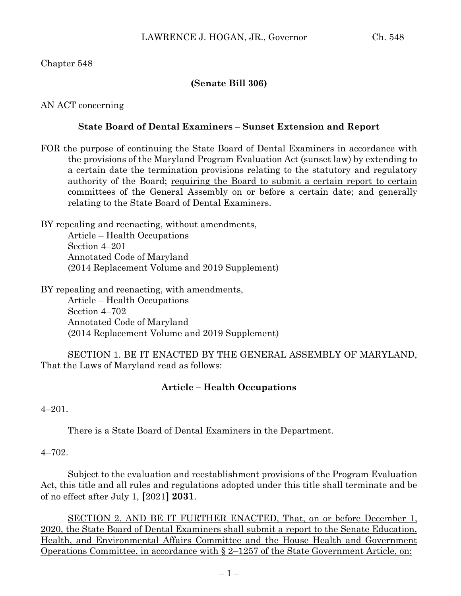## Chapter 548

## **(Senate Bill 306)**

AN ACT concerning

### **State Board of Dental Examiners – Sunset Extension and Report**

FOR the purpose of continuing the State Board of Dental Examiners in accordance with the provisions of the Maryland Program Evaluation Act (sunset law) by extending to a certain date the termination provisions relating to the statutory and regulatory authority of the Board; requiring the Board to submit a certain report to certain committees of the General Assembly on or before a certain date; and generally relating to the State Board of Dental Examiners.

BY repealing and reenacting, without amendments, Article – Health Occupations Section 4–201 Annotated Code of Maryland (2014 Replacement Volume and 2019 Supplement)

BY repealing and reenacting, with amendments,

Article – Health Occupations Section 4–702 Annotated Code of Maryland (2014 Replacement Volume and 2019 Supplement)

SECTION 1. BE IT ENACTED BY THE GENERAL ASSEMBLY OF MARYLAND, That the Laws of Maryland read as follows:

# **Article – Health Occupations**

4–201.

There is a State Board of Dental Examiners in the Department.

### 4–702.

Subject to the evaluation and reestablishment provisions of the Program Evaluation Act, this title and all rules and regulations adopted under this title shall terminate and be of no effect after July 1, **[**2021**] 2031**.

SECTION 2. AND BE IT FURTHER ENACTED, That, on or before December 1, 2020, the State Board of Dental Examiners shall submit a report to the Senate Education, Health, and Environmental Affairs Committee and the House Health and Government Operations Committee, in accordance with § 2–1257 of the State Government Article, on: